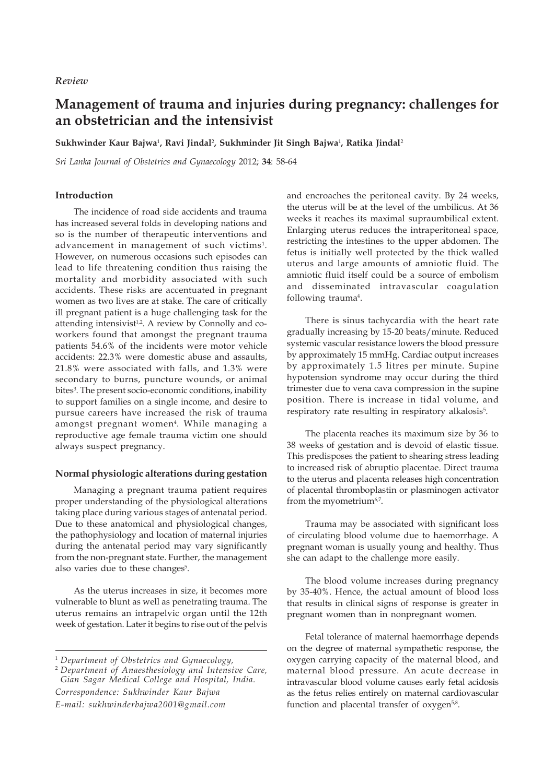# *Review*

# **Management of trauma and injuries during pregnancy: challenges for an obstetrician and the intensivist**

Sukhwinder Kaur Bajwa<sup>1</sup>, Ravi Jindal<sup>2</sup>, Sukhminder Jit Singh Bajwa<sup>1</sup>, Ratika Jindal<sup>2</sup>

*Sri Lanka Journal of Obstetrics and Gynaecology* 2012; **34**: 58-64

# **Introduction**

The incidence of road side accidents and trauma has increased several folds in developing nations and so is the number of therapeutic interventions and advancement in management of such victims $^1$ . However, on numerous occasions such episodes can lead to life threatening condition thus raising the mortality and morbidity associated with such accidents. These risks are accentuated in pregnant women as two lives are at stake. The care of critically ill pregnant patient is a huge challenging task for the attending intensivist<sup>1,2</sup>. A review by Connolly and coworkers found that amongst the pregnant trauma patients 54.6% of the incidents were motor vehicle accidents: 22.3% were domestic abuse and assaults, 21.8% were associated with falls, and 1.3% were secondary to burns, puncture wounds, or animal bites<sup>3</sup>. The present socio-economic conditions, inability to support families on a single income, and desire to pursue careers have increased the risk of trauma amongst pregnant women<sup>4</sup>. While managing a reproductive age female trauma victim one should always suspect pregnancy.

# **Normal physiologic alterations during gestation**

Managing a pregnant trauma patient requires proper understanding of the physiological alterations taking place during various stages of antenatal period. Due to these anatomical and physiological changes, the pathophysiology and location of maternal injuries during the antenatal period may vary significantly from the non-pregnant state. Further, the management also varies due to these changes<sup>5</sup>.

As the uterus increases in size, it becomes more vulnerable to blunt as well as penetrating trauma. The uterus remains an intrapelvic organ until the 12th week of gestation. Later it begins to rise out of the pelvis

*Correspondence: Sukhwinder Kaur Bajwa E-mail: sukhwinderbajwa2001@gmail.com* and encroaches the peritoneal cavity. By 24 weeks, the uterus will be at the level of the umbilicus. At 36 weeks it reaches its maximal supraumbilical extent. Enlarging uterus reduces the intraperitoneal space, restricting the intestines to the upper abdomen. The fetus is initially well protected by the thick walled uterus and large amounts of amniotic fluid. The amniotic fluid itself could be a source of embolism and disseminated intravascular coagulation following trauma<sup>4</sup>.

There is sinus tachycardia with the heart rate gradually increasing by 15-20 beats/minute. Reduced systemic vascular resistance lowers the blood pressure by approximately 15 mmHg. Cardiac output increases by approximately 1.5 litres per minute. Supine hypotension syndrome may occur during the third trimester due to vena cava compression in the supine position. There is increase in tidal volume, and respiratory rate resulting in respiratory alkalosis<sup>5</sup>.

The placenta reaches its maximum size by 36 to 38 weeks of gestation and is devoid of elastic tissue. This predisposes the patient to shearing stress leading to increased risk of abruptio placentae. Direct trauma to the uterus and placenta releases high concentration of placental thromboplastin or plasminogen activator from the myometrium<sup>6,7</sup>.

Trauma may be associated with significant loss of circulating blood volume due to haemorrhage. A pregnant woman is usually young and healthy. Thus she can adapt to the challenge more easily.

The blood volume increases during pregnancy by 35-40%. Hence, the actual amount of blood loss that results in clinical signs of response is greater in pregnant women than in nonpregnant women.

Fetal tolerance of maternal haemorrhage depends on the degree of maternal sympathetic response, the oxygen carrying capacity of the maternal blood, and maternal blood pressure. An acute decrease in intravascular blood volume causes early fetal acidosis as the fetus relies entirely on maternal cardiovascular function and placental transfer of oxygen<sup>5,8</sup>.

<sup>1</sup> *Department of Obstetrics and Gynaecology,*

<sup>2</sup> *Department of Anaesthesiology and Intensive Care, Gian Sagar Medical College and Hospital, India.*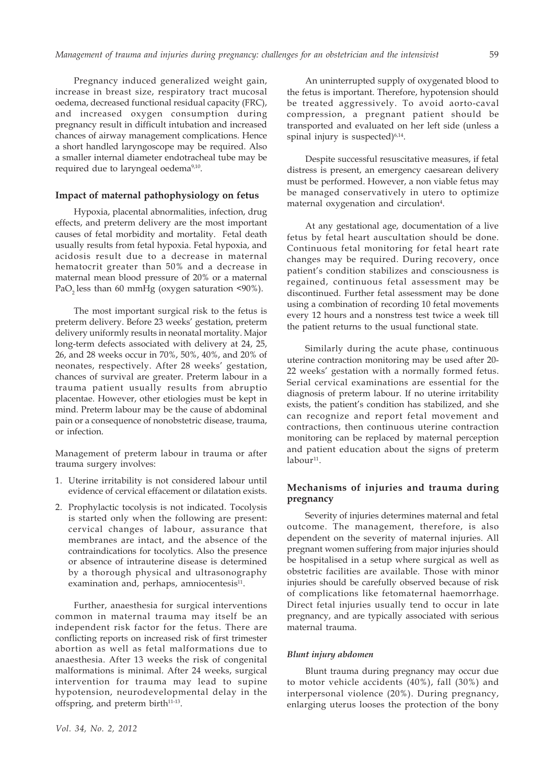Pregnancy induced generalized weight gain, increase in breast size, respiratory tract mucosal oedema, decreased functional residual capacity (FRC), and increased oxygen consumption during pregnancy result in difficult intubation and increased chances of airway management complications. Hence a short handled laryngoscope may be required. Also a smaller internal diameter endotracheal tube may be required due to laryngeal oedema<sup>9,10</sup>.

## **Impact of maternal pathophysiology on fetus**

Hypoxia, placental abnormalities, infection, drug effects, and preterm delivery are the most important causes of fetal morbidity and mortality. Fetal death usually results from fetal hypoxia. Fetal hypoxia, and acidosis result due to a decrease in maternal hematocrit greater than 50% and a decrease in maternal mean blood pressure of 20% or a maternal PaO<sub>2</sub> less than 60 mmHg (oxygen saturation  $\leq 90\%$ ).

The most important surgical risk to the fetus is preterm delivery. Before 23 weeks' gestation, preterm delivery uniformly results in neonatal mortality. Major long-term defects associated with delivery at 24, 25, 26, and 28 weeks occur in 70%, 50%, 40%, and 20% of neonates, respectively. After 28 weeks' gestation, chances of survival are greater. Preterm labour in a trauma patient usually results from abruptio placentae. However, other etiologies must be kept in mind. Preterm labour may be the cause of abdominal pain or a consequence of nonobstetric disease, trauma, or infection.

Management of preterm labour in trauma or after trauma surgery involves:

- 1. Uterine irritability is not considered labour until evidence of cervical effacement or dilatation exists.
- 2. Prophylactic tocolysis is not indicated. Tocolysis is started only when the following are present: cervical changes of labour, assurance that membranes are intact, and the absence of the contraindications for tocolytics. Also the presence or absence of intrauterine disease is determined by a thorough physical and ultrasonography examination and, perhaps, amniocentesis<sup>11</sup>.

Further, anaesthesia for surgical interventions common in maternal trauma may itself be an independent risk factor for the fetus. There are conflicting reports on increased risk of first trimester abortion as well as fetal malformations due to anaesthesia. After 13 weeks the risk of congenital malformations is minimal. After 24 weeks, surgical intervention for trauma may lead to supine hypotension, neurodevelopmental delay in the offspring, and preterm birth<sup>11-13</sup>.

An uninterrupted supply of oxygenated blood to the fetus is important. Therefore, hypotension should be treated aggressively. To avoid aorto-caval compression, a pregnant patient should be transported and evaluated on her left side (unless a spinal injury is suspected) $6,14$ .

Despite successful resuscitative measures, if fetal distress is present, an emergency caesarean delivery must be performed. However, a non viable fetus may be managed conservatively in utero to optimize maternal oxygenation and circulation<sup>4</sup>.

At any gestational age, documentation of a live fetus by fetal heart auscultation should be done. Continuous fetal monitoring for fetal heart rate changes may be required. During recovery, once patient's condition stabilizes and consciousness is regained, continuous fetal assessment may be discontinued. Further fetal assessment may be done using a combination of recording 10 fetal movements every 12 hours and a nonstress test twice a week till the patient returns to the usual functional state.

Similarly during the acute phase, continuous uterine contraction monitoring may be used after 20- 22 weeks' gestation with a normally formed fetus. Serial cervical examinations are essential for the diagnosis of preterm labour. If no uterine irritability exists, the patient's condition has stabilized, and she can recognize and report fetal movement and contractions, then continuous uterine contraction monitoring can be replaced by maternal perception and patient education about the signs of preterm  $labor11$ .

# **Mechanisms of injuries and trauma during pregnancy**

Severity of injuries determines maternal and fetal outcome. The management, therefore, is also dependent on the severity of maternal injuries. All pregnant women suffering from major injuries should be hospitalised in a setup where surgical as well as obstetric facilities are available. Those with minor injuries should be carefully observed because of risk of complications like fetomaternal haemorrhage. Direct fetal injuries usually tend to occur in late pregnancy, and are typically associated with serious maternal trauma.

# *Blunt injury abdomen*

Blunt trauma during pregnancy may occur due to motor vehicle accidents (40%), fall (30%) and interpersonal violence (20%). During pregnancy, enlarging uterus looses the protection of the bony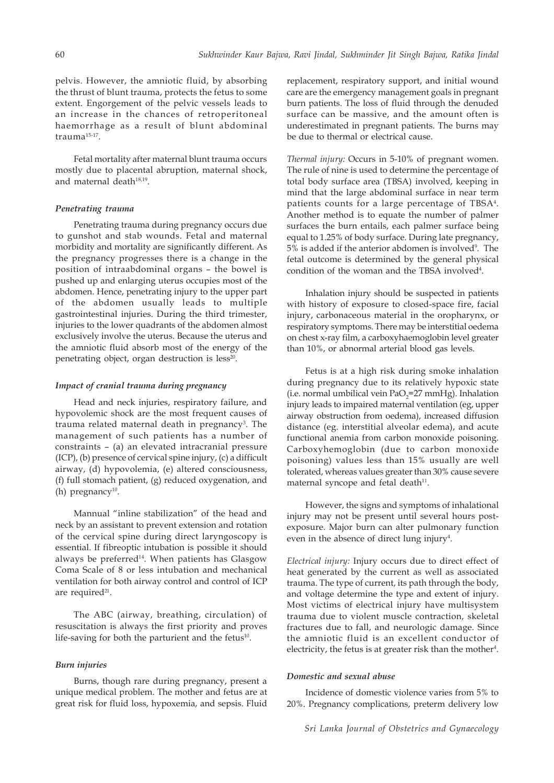pelvis. However, the amniotic fluid, by absorbing the thrust of blunt trauma, protects the fetus to some extent. Engorgement of the pelvic vessels leads to an increase in the chances of retroperitoneal haemorrhage as a result of blunt abdominal trauma15-17.

Fetal mortality after maternal blunt trauma occurs mostly due to placental abruption, maternal shock, and maternal death<sup>18,19</sup>.

# *Penetrating trauma*

Penetrating trauma during pregnancy occurs due to gunshot and stab wounds. Fetal and maternal morbidity and mortality are significantly different. As the pregnancy progresses there is a change in the position of intraabdominal organs – the bowel is pushed up and enlarging uterus occupies most of the abdomen. Hence, penetrating injury to the upper part of the abdomen usually leads to multiple gastrointestinal injuries. During the third trimester, injuries to the lower quadrants of the abdomen almost exclusively involve the uterus. Because the uterus and the amniotic fluid absorb most of the energy of the penetrating object, organ destruction is less<sup>20</sup>.

# *Impact of cranial trauma during pregnancy*

Head and neck injuries, respiratory failure, and hypovolemic shock are the most frequent causes of trauma related maternal death in pregnancy<sup>3</sup>. The management of such patients has a number of constraints – (a) an elevated intracranial pressure (ICP), (b) presence of cervical spine injury, (c) a difficult airway, (d) hypovolemia, (e) altered consciousness, (f) full stomach patient, (g) reduced oxygenation, and (h) pregnancy $10$ .

Mannual "inline stabilization" of the head and neck by an assistant to prevent extension and rotation of the cervical spine during direct laryngoscopy is essential. If fibreoptic intubation is possible it should always be preferred<sup>14</sup>. When patients has Glasgow Coma Scale of 8 or less intubation and mechanical ventilation for both airway control and control of ICP are required<sup>21</sup>.

The ABC (airway, breathing, circulation) of resuscitation is always the first priority and proves life-saving for both the parturient and the fetus<sup>10</sup>.

### *Burn injuries*

Burns, though rare during pregnancy, present a unique medical problem. The mother and fetus are at great risk for fluid loss, hypoxemia, and sepsis. Fluid

replacement, respiratory support, and initial wound care are the emergency management goals in pregnant burn patients. The loss of fluid through the denuded surface can be massive, and the amount often is underestimated in pregnant patients. The burns may be due to thermal or electrical cause.

*Thermal injury:* Occurs in 5-10% of pregnant women. The rule of nine is used to determine the percentage of total body surface area (TBSA) involved, keeping in mind that the large abdominal surface in near term patients counts for a large percentage of TBSA4. Another method is to equate the number of palmer surfaces the burn entails, each palmer surface being equal to 1.25% of body surface. During late pregnancy, 5% is added if the anterior abdomen is involved<sup>9</sup>. The fetal outcome is determined by the general physical condition of the woman and the TBSA involved<sup>4</sup>.

Inhalation injury should be suspected in patients with history of exposure to closed-space fire, facial injury, carbonaceous material in the oropharynx, or respiratory symptoms. There may be interstitial oedema on chest x-ray film, a carboxyhaemoglobin level greater than 10%, or abnormal arterial blood gas levels.

Fetus is at a high risk during smoke inhalation during pregnancy due to its relatively hypoxic state (i.e. normal umbilical vein  $PaO<sub>2</sub>=27$  mmHg). Inhalation injury leads to impaired maternal ventilation (eg, upper airway obstruction from oedema), increased diffusion distance (eg. interstitial alveolar edema), and acute functional anemia from carbon monoxide poisoning. Carboxyhemoglobin (due to carbon monoxide poisoning) values less than 15% usually are well tolerated, whereas values greater than 30% cause severe maternal syncope and fetal death<sup>11</sup>.

However, the signs and symptoms of inhalational injury may not be present until several hours postexposure. Major burn can alter pulmonary function even in the absence of direct lung injury<sup>4</sup>.

*Electrical injury:* Injury occurs due to direct effect of heat generated by the current as well as associated trauma. The type of current, its path through the body, and voltage determine the type and extent of injury. Most victims of electrical injury have multisystem trauma due to violent muscle contraction, skeletal fractures due to fall, and neurologic damage. Since the amniotic fluid is an excellent conductor of electricity, the fetus is at greater risk than the mother $4$ .

# *Domestic and sexual abuse*

Incidence of domestic violence varies from 5% to 20%. Pregnancy complications, preterm delivery low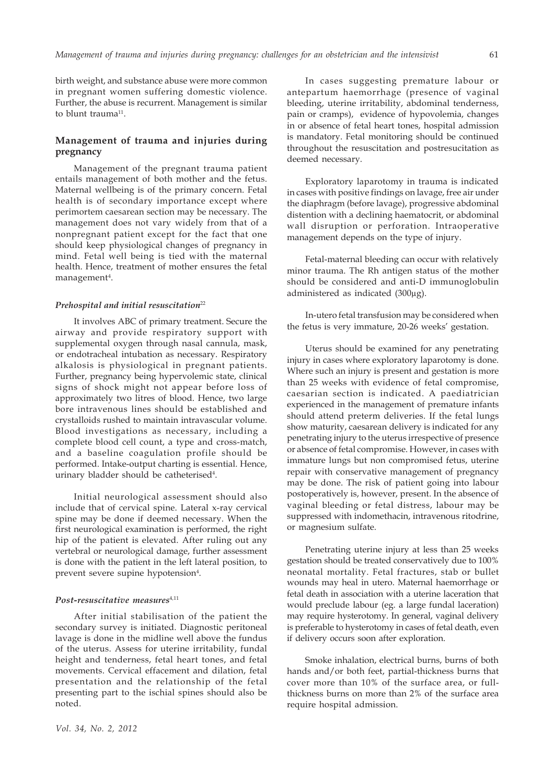61

birth weight, and substance abuse were more common in pregnant women suffering domestic violence. Further, the abuse is recurrent. Management is similar to blunt trauma<sup>11</sup>.

# **Management of trauma and injuries during pregnancy**

Management of the pregnant trauma patient entails management of both mother and the fetus. Maternal wellbeing is of the primary concern. Fetal health is of secondary importance except where perimortem caesarean section may be necessary. The management does not vary widely from that of a nonpregnant patient except for the fact that one should keep physiological changes of pregnancy in mind. Fetal well being is tied with the maternal health. Hence, treatment of mother ensures the fetal management<sup>4</sup>.

#### *Prehospital and initial resuscitation*<sup>22</sup>

It involves ABC of primary treatment. Secure the airway and provide respiratory support with supplemental oxygen through nasal cannula, mask, or endotracheal intubation as necessary. Respiratory alkalosis is physiological in pregnant patients. Further, pregnancy being hypervolemic state, clinical signs of shock might not appear before loss of approximately two litres of blood. Hence, two large bore intravenous lines should be established and crystalloids rushed to maintain intravascular volume. Blood investigations as necessary, including a complete blood cell count, a type and cross-match, and a baseline coagulation profile should be performed. Intake-output charting is essential. Hence, urinary bladder should be catheterised<sup>4</sup>.

Initial neurological assessment should also include that of cervical spine. Lateral x-ray cervical spine may be done if deemed necessary. When the first neurological examination is performed, the right hip of the patient is elevated. After ruling out any vertebral or neurological damage, further assessment is done with the patient in the left lateral position, to prevent severe supine hypotension<sup>4</sup>.

#### Post-resuscitative measures<sup>4,11</sup>

After initial stabilisation of the patient the secondary survey is initiated. Diagnostic peritoneal lavage is done in the midline well above the fundus of the uterus. Assess for uterine irritability, fundal height and tenderness, fetal heart tones, and fetal movements. Cervical effacement and dilation, fetal presentation and the relationship of the fetal presenting part to the ischial spines should also be noted.

In cases suggesting premature labour or antepartum haemorrhage (presence of vaginal bleeding, uterine irritability, abdominal tenderness, pain or cramps), evidence of hypovolemia, changes in or absence of fetal heart tones, hospital admission is mandatory. Fetal monitoring should be continued throughout the resuscitation and postresucitation as deemed necessary.

Exploratory laparotomy in trauma is indicated in cases with positive findings on lavage, free air under the diaphragm (before lavage), progressive abdominal distention with a declining haematocrit, or abdominal wall disruption or perforation. Intraoperative management depends on the type of injury.

Fetal-maternal bleeding can occur with relatively minor trauma. The Rh antigen status of the mother should be considered and anti-D immunoglobulin administered as indicated (300μg).

In-utero fetal transfusion may be considered when the fetus is very immature, 20-26 weeks' gestation.

Uterus should be examined for any penetrating injury in cases where exploratory laparotomy is done. Where such an injury is present and gestation is more than 25 weeks with evidence of fetal compromise, caesarian section is indicated. A paediatrician experienced in the management of premature infants should attend preterm deliveries. If the fetal lungs show maturity, caesarean delivery is indicated for any penetrating injury to the uterus irrespective of presence or absence of fetal compromise. However, in cases with immature lungs but non compromised fetus, uterine repair with conservative management of pregnancy may be done. The risk of patient going into labour postoperatively is, however, present. In the absence of vaginal bleeding or fetal distress, labour may be suppressed with indomethacin, intravenous ritodrine, or magnesium sulfate.

Penetrating uterine injury at less than 25 weeks gestation should be treated conservatively due to 100% neonatal mortality. Fetal fractures, stab or bullet wounds may heal in utero. Maternal haemorrhage or fetal death in association with a uterine laceration that would preclude labour (eg. a large fundal laceration) may require hysterotomy. In general, vaginal delivery is preferable to hysterotomy in cases of fetal death, even if delivery occurs soon after exploration.

Smoke inhalation, electrical burns, burns of both hands and/or both feet, partial-thickness burns that cover more than 10% of the surface area, or fullthickness burns on more than 2% of the surface area require hospital admission.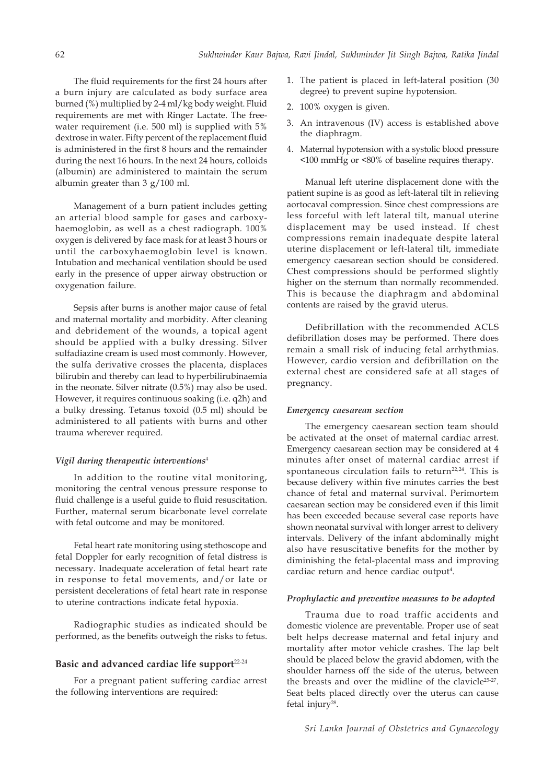The fluid requirements for the first 24 hours after a burn injury are calculated as body surface area burned (%) multiplied by 2-4 ml/kg body weight. Fluid requirements are met with Ringer Lactate. The freewater requirement (i.e. 500 ml) is supplied with 5% dextrose in water. Fifty percent of the replacement fluid is administered in the first 8 hours and the remainder during the next 16 hours. In the next 24 hours, colloids (albumin) are administered to maintain the serum albumin greater than 3 g/100 ml.

Management of a burn patient includes getting an arterial blood sample for gases and carboxyhaemoglobin, as well as a chest radiograph. 100% oxygen is delivered by face mask for at least 3 hours or until the carboxyhaemoglobin level is known. Intubation and mechanical ventilation should be used early in the presence of upper airway obstruction or oxygenation failure.

Sepsis after burns is another major cause of fetal and maternal mortality and morbidity. After cleaning and debridement of the wounds, a topical agent should be applied with a bulky dressing. Silver sulfadiazine cream is used most commonly. However, the sulfa derivative crosses the placenta, displaces bilirubin and thereby can lead to hyperbilirubinaemia in the neonate. Silver nitrate (0.5%) may also be used. However, it requires continuous soaking (i.e. q2h) and a bulky dressing. Tetanus toxoid (0.5 ml) should be administered to all patients with burns and other trauma wherever required.

#### *Vigil during therapeutic interventions*<sup>4</sup>

In addition to the routine vital monitoring, monitoring the central venous pressure response to fluid challenge is a useful guide to fluid resuscitation. Further, maternal serum bicarbonate level correlate with fetal outcome and may be monitored.

Fetal heart rate monitoring using stethoscope and fetal Doppler for early recognition of fetal distress is necessary. Inadequate acceleration of fetal heart rate in response to fetal movements, and/or late or persistent decelerations of fetal heart rate in response to uterine contractions indicate fetal hypoxia.

Radiographic studies as indicated should be performed, as the benefits outweigh the risks to fetus.

# Basic and advanced cardiac life support<sup>22-24</sup>

For a pregnant patient suffering cardiac arrest the following interventions are required:

- 1. The patient is placed in left-lateral position (30 degree) to prevent supine hypotension.
- 2. 100% oxygen is given.
- 3. An intravenous (IV) access is established above the diaphragm.
- 4. Maternal hypotension with a systolic blood pressure <100 mmHg or <80% of baseline requires therapy.

Manual left uterine displacement done with the patient supine is as good as left-lateral tilt in relieving aortocaval compression. Since chest compressions are less forceful with left lateral tilt, manual uterine displacement may be used instead. If chest compressions remain inadequate despite lateral uterine displacement or left-lateral tilt, immediate emergency caesarean section should be considered. Chest compressions should be performed slightly higher on the sternum than normally recommended. This is because the diaphragm and abdominal contents are raised by the gravid uterus.

Defibrillation with the recommended ACLS defibrillation doses may be performed. There does remain a small risk of inducing fetal arrhythmias. However, cardio version and defibrillation on the external chest are considered safe at all stages of pregnancy.

# *Emergency caesarean section*

The emergency caesarean section team should be activated at the onset of maternal cardiac arrest. Emergency caesarean section may be considered at 4 minutes after onset of maternal cardiac arrest if spontaneous circulation fails to return<sup>22,24</sup>. This is because delivery within five minutes carries the best chance of fetal and maternal survival. Perimortem caesarean section may be considered even if this limit has been exceeded because several case reports have shown neonatal survival with longer arrest to delivery intervals. Delivery of the infant abdominally might also have resuscitative benefits for the mother by diminishing the fetal-placental mass and improving cardiac return and hence cardiac output<sup>4</sup>.

# *Prophylactic and preventive measures to be adopted*

Trauma due to road traffic accidents and domestic violence are preventable. Proper use of seat belt helps decrease maternal and fetal injury and mortality after motor vehicle crashes. The lap belt should be placed below the gravid abdomen, with the shoulder harness off the side of the uterus, between the breasts and over the midline of the clavicle25-27. Seat belts placed directly over the uterus can cause fetal injury<sup>28</sup>.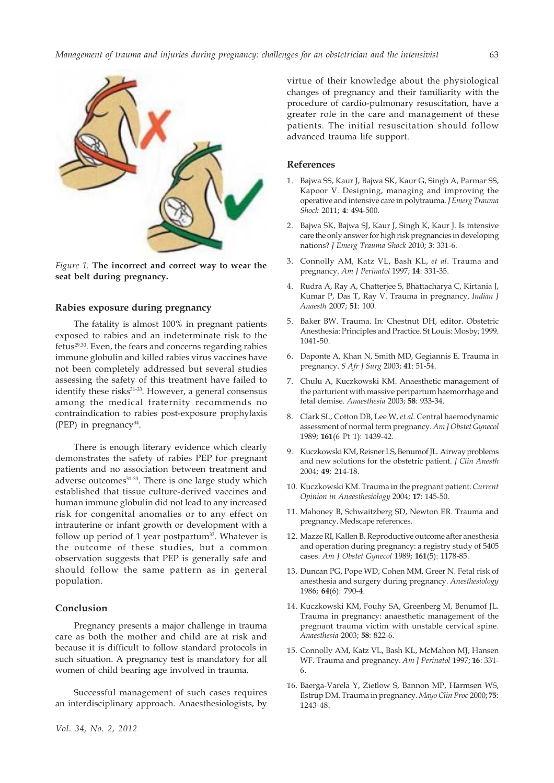

*Figure 1.* **The incorrect and correct way to wear the seat belt during pregnancy.**

## **Rabies exposure during pregnancy**

The fatality is almost 100% in pregnant patients exposed to rabies and an indeterminate risk to the fetus29,30. Even, the fears and concerns regarding rabies immune globulin and killed rabies virus vaccines have not been completely addressed but several studies assessing the safety of this treatment have failed to identify these risks $31-33$ . However, a general consensus among the medical fraternity recommends no contraindication to rabies post-exposure prophylaxis (PEP) in pregnancy $34$ .

There is enough literary evidence which clearly demonstrates the safety of rabies PEP for pregnant patients and no association between treatment and adverse outcomes<sup>31-33</sup>. There is one large study which established that tissue culture-derived vaccines and human immune globulin did not lead to any increased risk for congenital anomalies or to any effect on intrauterine or infant growth or development with a follow up period of 1 year postpartum<sup>33</sup>. Whatever is the outcome of these studies, but a common observation suggests that PEP is generally safe and should follow the same pattern as in general population.

# **Conclusion**

Pregnancy presents a major challenge in trauma care as both the mother and child are at risk and because it is difficult to follow standard protocols in such situation. A pregnancy test is mandatory for all women of child bearing age involved in trauma.

Successful management of such cases requires an interdisciplinary approach. Anaesthesiologists, by virtue of their knowledge about the physiological changes of pregnancy and their familiarity with the procedure of cardio-pulmonary resuscitation, have a greater role in the care and management of these patients. The initial resuscitation should follow advanced trauma life support.

#### **References**

- 1. Bajwa SS, Kaur J, Bajwa SK, Kaur G, Singh A, Parmar SS, Kapoor V. Designing, managing and improving the operative and intensive care in polytrauma. *J Emerg Trauma Shock* 2011; **4**: 494-500.
- 2. Bajwa SK, Bajwa SJ, Kaur J, Singh K, Kaur J. Is intensive care the only answer for high risk pregnancies in developing nations? *J Emerg Trauma Shock* 2010; **3**: 331-6.
- 3. Connolly AM, Katz VL, Bash KL, *et al*. Trauma and pregnancy. *Am J Perinatol* 1997; **14**: 331-35.
- 4. Rudra A, Ray A, Chatterjee S, Bhattacharya C, Kirtania J, Kumar P, Das T, Ray V. Trauma in pregnancy. *Indian J Anaesth* 2007; **51**: 100.
- 5. Baker BW. Trauma. In: Chestnut DH, editor. Obstetric Anesthesia: Principles and Practice. St Louis: Mosby; 1999. 1041-50.
- 6. Daponte A, Khan N, Smith MD, Gegiannis E. Trauma in pregnancy. *S Afr J Surg* 2003; **41**: 51-54.
- 7. Chulu A, Kuczkowski KM. Anaesthetic management of the parturient with massive peripartum haemorrhage and fetal demise. *Anaesthesia* 2003; **58**: 933-34.
- 8. Clark SL, Cotton DB, Lee W, *et al*. Central haemodynamic assessment of normal term pregnancy. *Am J Obstet Gynecol* 1989; **161**(6 Pt 1): 1439-42.
- 9. Kuczkowski KM, Reisner LS, Benumof JL. Airway problems and new solutions for the obstetric patient. *J Clin Anesth* 2004; **49**: 214-18.
- 10. Kuczkowski KM. Trauma in the pregnant patient. *Current Opinion in Anaesthesiology* 2004; **17**: 145-50.
- 11. Mahoney B, Schwaitzberg SD, Newton ER. Trauma and pregnancy. Medscape references.
- 12. Mazze RI, Kallen B. Reproductive outcome after anesthesia and operation during pregnancy: a registry study of 5405 cases. *Am J Obstet Gynecol* 1989; **161**(5): 1178-85.
- 13. Duncan PG, Pope WD, Cohen MM, Greer N. Fetal risk of anesthesia and surgery during pregnancy. *Anesthesiology* 1986; **64**(6): 790-4.
- 14. Kuczkowski KM, Fouhy SA, Greenberg M, Benumof JL. Trauma in pregnancy: anaesthetic management of the pregnant trauma victim with unstable cervical spine. *Anaesthesia* 2003; **58**: 822-6.
- 15. Connolly AM, Katz VL, Bash KL, McMahon MJ, Hansen WF. Trauma and pregnancy. *Am J Perinatol* 1997; **16**: 331- 6.
- 16. Baerga-Varela Y, Zietlow S, Bannon MP, Harmsen WS, Ilstrup DM. Trauma in pregnancy. *Mayo Clin Proc* 2000; **75**: 1243-48.